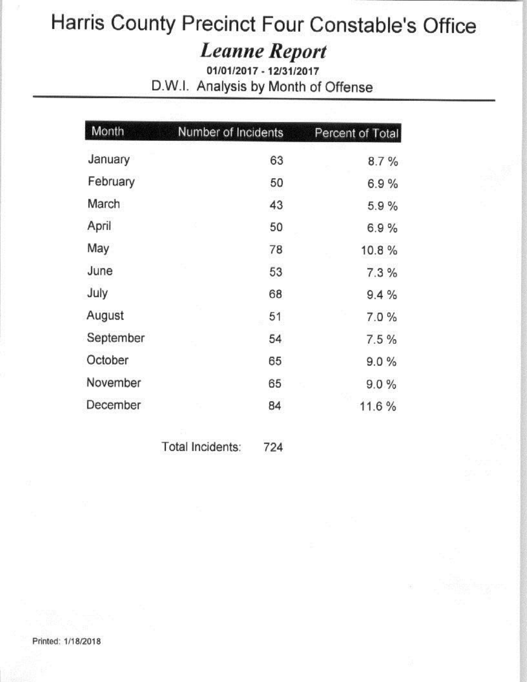# **Leanne Report**

01/01/2017 - 12/31/2017 D.W.I. Analysis by Month of Offense

| Month     | Number of Incidents | Percent of Total |
|-----------|---------------------|------------------|
| January   | 63                  | 8.7%             |
| February  | 50                  | 6.9%             |
| March     | 43                  | 5.9%             |
| April     | 50                  | 6.9%             |
| May       | 78                  | 10.8%            |
| June      | 53                  | 7.3%             |
| July      | 68                  | 9.4%             |
| August    | 51                  | 7.0%             |
| September | 54                  | 7.5%             |
| October   | 65                  | 9.0%             |
| November  | 65                  | 9.0%             |
| December  | 84                  | 11.6%            |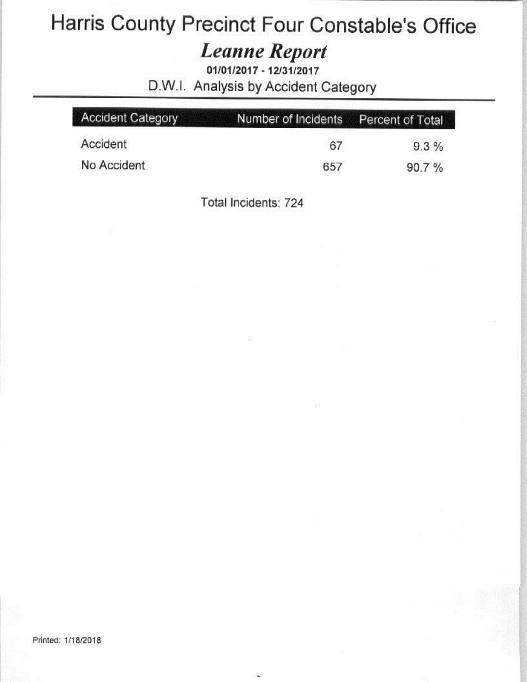#### **Leanne Report**

01/01/2017 - 12/31/2017 D.W.I. Analysis by Accident Category

| <b>Accident Category</b> | Number of Incidents Percent of Total |       |
|--------------------------|--------------------------------------|-------|
| Accident                 | 67                                   | 9.3%  |
| No Accident              | 657                                  | 90.7% |

Total Incidents: 724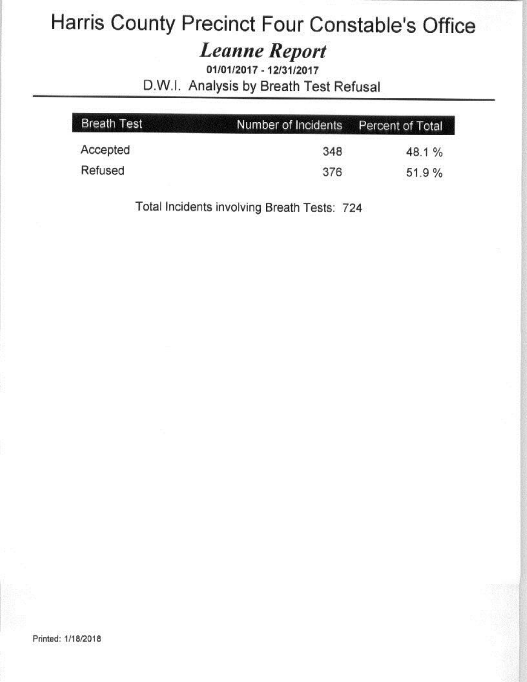#### **Leanne Report**

01/01/2017 - 12/31/2017 D.W.I. Analysis by Breath Test Refusal

| <b>Breath Test</b> | Number of Incidents Percent of Total |       |
|--------------------|--------------------------------------|-------|
| Accepted           | 348                                  | 48.1% |
| Refused            | 376                                  | 51.9% |

Total Incidents involving Breath Tests: 724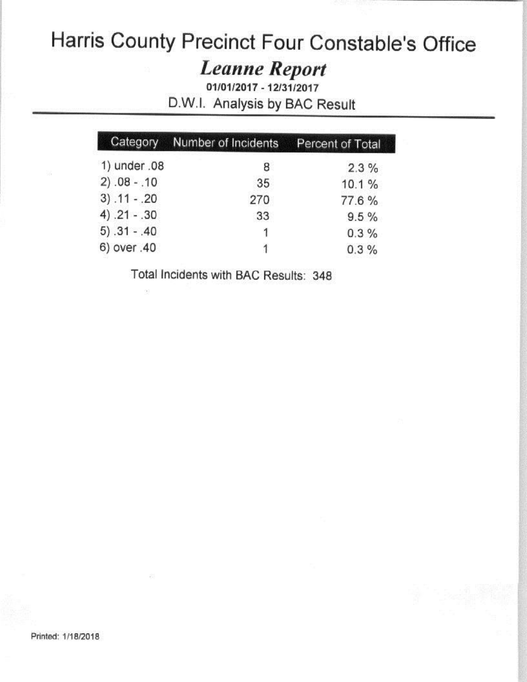# **Leanne Report**

01/01/2017 - 12/31/2017 D.W.I. Analysis by BAC Result

|                | Category Number of Incidents | Percent of Total |
|----------------|------------------------------|------------------|
| 1) under .08   | 8                            | 2.3%             |
| $2) .08 - .10$ | 35                           | 10.1%            |
| $3) .11 - .20$ | 270                          | 77.6%            |
| $4) .21 - .30$ | 33                           | 9.5%             |
| $5) .31 - .40$ | 1                            | 0.3%             |
| 6) over .40    | 1                            | 0.3%             |

Total Incidents with BAC Results: 348

 $\alpha$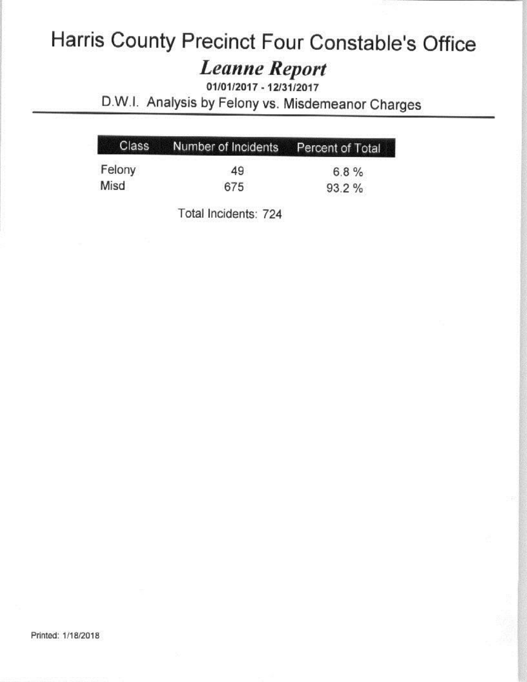# **Leanne Report**

01/01/2017 - 12/31/2017 D.W.I. Analysis by Felony vs. Misdemeanor Charges

|        | Class Number of Incidents Percent of Total |       |
|--------|--------------------------------------------|-------|
| Felony | 49                                         | 6.8%  |
| Misd   | 675                                        | 93.2% |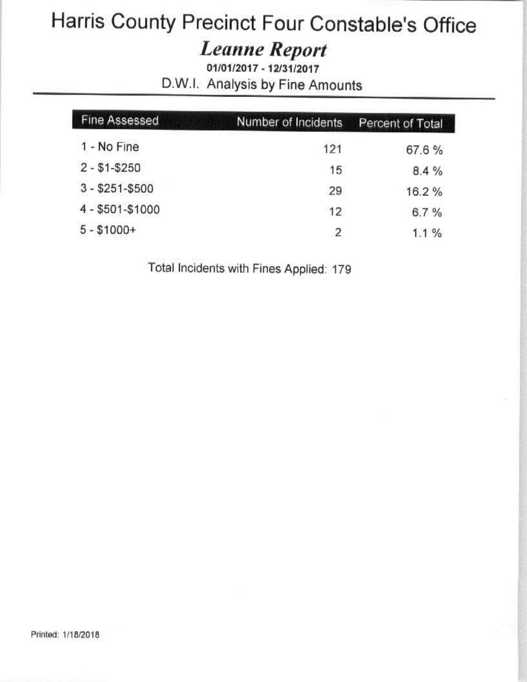#### **Leanne Report**

01/01/2017 - 12/31/2017 D.W.I. Analysis by Fine Amounts

| <b>Fine Assessed</b> | Number of Incidents | Percent of Total |
|----------------------|---------------------|------------------|
| 1 - No Fine          | 121                 | 67.6%            |
| $2 - $1 - $250$      | 15                  | 8.4%             |
| $3 - $251 - $500$    | 29                  | 16.2%            |
| 4 - \$501-\$1000     | 12                  | 6.7%             |
| $5 - $1000+$         | 2                   | $1.1\%$          |

Total Incidents with Fines Applied: 179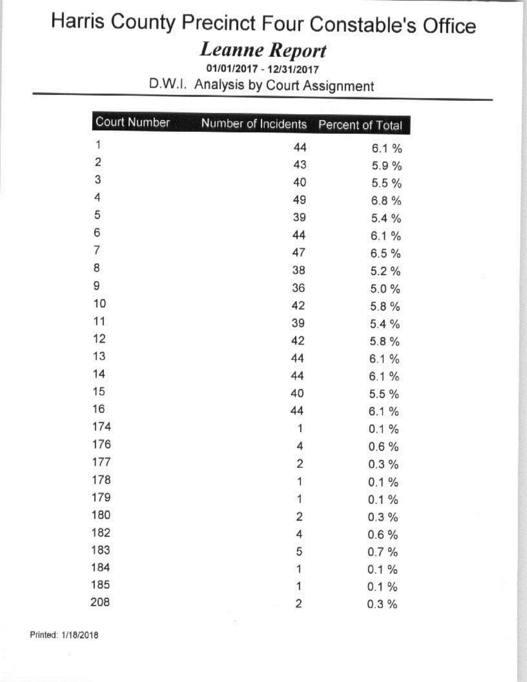# Harris County Precinct Four Constable's Office The Precinct Four Consta<br>
Leanne Report<br>
D.W.I. Analysis by Court Assignment

# Leanne Report

 $\mu$ <br>*Leanne Repor*<br> $\mu$ <sup>01/01/2017</sup> - 12/31/2017<br>palveis by Court As

|                    | <b>Court Number</b>     | Number of Incidents     | Percent of Total |
|--------------------|-------------------------|-------------------------|------------------|
|                    | 1                       | 44                      | 6.1%             |
|                    | $\overline{\mathbf{c}}$ | 43                      | 5.9%             |
|                    | 3                       | 40                      | 5.5%             |
|                    | 4                       | 49                      | 6.8%             |
|                    | 5                       | 39                      | 5.4%             |
|                    | 6                       | 44                      | 6.1%             |
|                    | $\overline{7}$          | 47                      | 6.5%             |
|                    | 8                       | 38                      | 5.2%             |
|                    | 9                       | 36                      | 5.0%             |
|                    | 10                      | 42                      | 5.8%             |
|                    | 11                      | 39                      | 5.4%             |
|                    | 12                      | 42                      | 5.8%             |
|                    | 13                      | 44                      | 6.1%             |
|                    | 14                      | 44                      | 6.1%             |
|                    | 15                      | 40                      | 5.5 %            |
|                    | 16                      | 44                      | 6.1%             |
|                    | 174                     | 1                       | 0.1%             |
|                    | 176                     | 4                       | 0.6%             |
|                    | 177                     | $\overline{c}$          | 0.3%             |
|                    | 178                     | 1                       | 0.1%             |
|                    | 179                     | 1                       | 0.1%             |
|                    | 180                     | 2                       | $0.3\%$          |
|                    | 182                     | 4                       | 0.6%             |
|                    | 183                     | 5                       | 0.7%             |
|                    | 184                     | 1                       | 0.1%             |
|                    | 185                     | $\overline{1}$          | 0.1%             |
|                    | 208                     | $\overline{\mathbf{c}}$ | 0.3%             |
| Printed: 1/18/2018 |                         | 汤                       |                  |
| 歪                  |                         |                         |                  |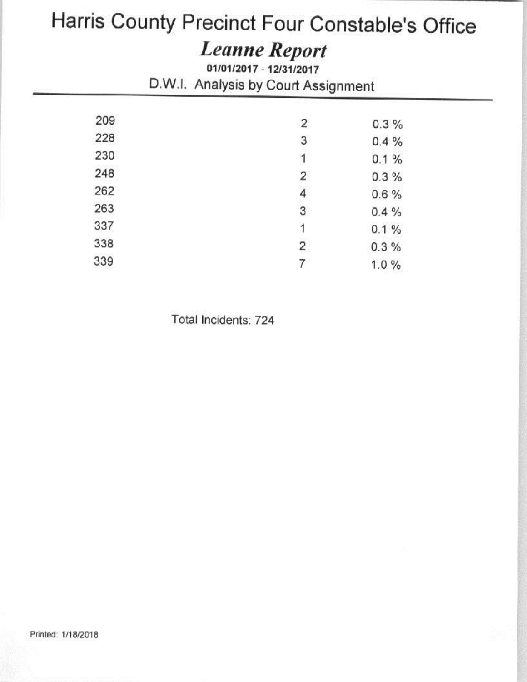# Leanne Report

*Comot 1 001 0*<br> *Ceanne Repor*<br> **Court As** The Precinct Four Consta<br> *Leanne Report*<br>
D.W.I. Analysis by Court Assignment

| 209 | 2                       | 0.3%    |  |
|-----|-------------------------|---------|--|
| 228 | 3                       | 0.4%    |  |
| 230 | $\mathbf{1}$            | 0.1%    |  |
| 248 | $\overline{2}$          | 0.3%    |  |
| 262 | $\overline{\mathbf{4}}$ | 0.6%    |  |
| 263 | 3                       | 0.4%    |  |
| 337 | 1                       | 0.1%    |  |
| 338 | $\overline{\mathbf{c}}$ | $0.3\%$ |  |
| 339 | 7                       | 1.0%    |  |
|     |                         |         |  |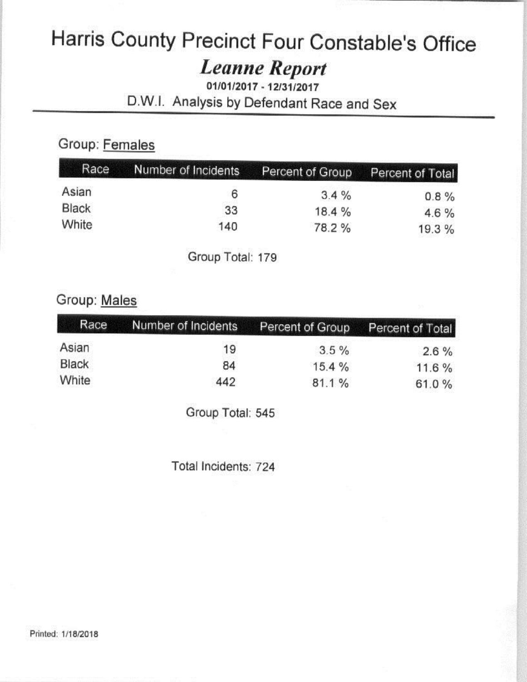# **Leanne Report**

01/01/2017 - 12/31/2017 D.W.I. Analysis by Defendant Race and Sex

#### Group: Females

| Race  | Number of Incidents | Percent of Group Percent of Total |         |
|-------|---------------------|-----------------------------------|---------|
| Asian | 6                   | 3.4%                              | 0.8%    |
| Black | 33                  | 18.4 %                            | $4.6\%$ |
| White | 140                 | 78.2 %                            | 19.3 %  |

Group Total: 179

#### Group: Males

| Race  | Number of Incidents | Percent of Group | Percent of Total |
|-------|---------------------|------------------|------------------|
| Asian | 19                  | $3.5 \%$         | $2.6\%$          |
| Black | 84                  | 15.4%            | 11.6%            |
| White | 442                 | 81.1%            | 61.0%            |

Group Total: 545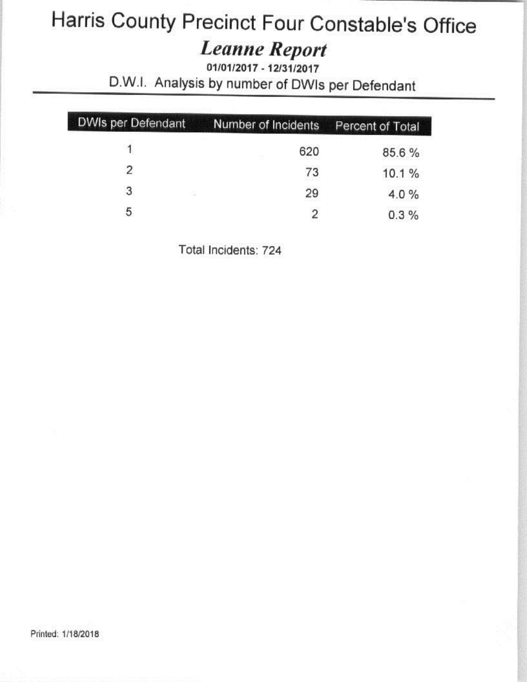# **Leanne Report**

01/01/2017 - 12/31/2017

D.W.I. Analysis by number of DWIs per Defendant

| DWIs per Defendant | Number of Incidents | Percent of Total |
|--------------------|---------------------|------------------|
|                    | 620                 | 85.6%            |
| $\mathfrak{p}$     | 73                  | 10.1%            |
| 3<br>725           | 29                  | 4.0%             |
| 5                  |                     | 0.3%             |

Total Incidents: 724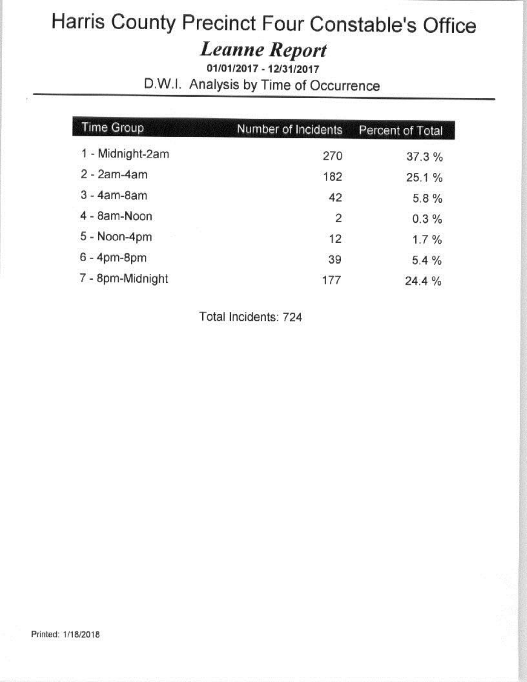# Harris County Precinct Four Constable's Office<br>
Leanne Report<br>
01/01/2017 - 12/31/2017

# Leanne Repart *Canne Repo*<br>01/01/2017 - 12/31/201

Inty Precinct Four Constak<br>
Leanne Report<br>
D.W.I. Analysis by Time of Occurrence

| <b>Time Group</b> | Number of Incidents | Percent of Total |
|-------------------|---------------------|------------------|
| 1 - Midnight-2am  | 270                 | 37.3%            |
| $2 - 2am - 4am$   | 182                 | 25.1%            |
| $3 - 4am - 8am$   | 42                  | 5.8%             |
| 4 - 8am-Noon      | $\overline{2}$      | 0.3%             |
| 5 - Noon-4pm      | 12                  | 1.7%             |
| $6 - 4pm-8pm$     | 39                  | 5.4%             |
| 7 - 8pm-Midnight  | 177                 | 24.4 %           |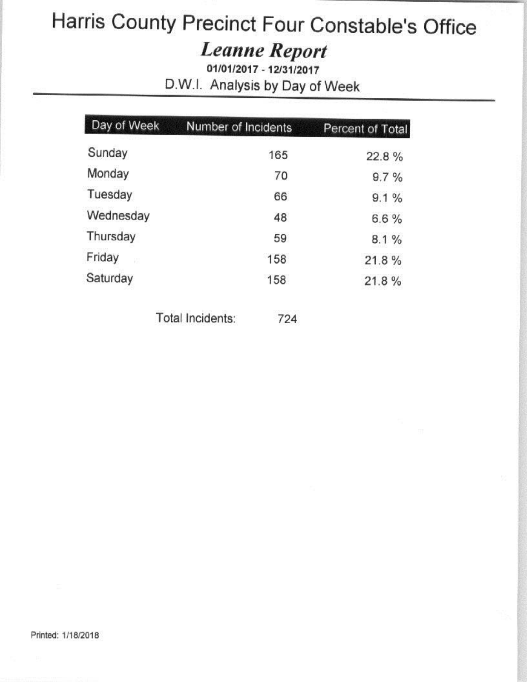# **Leanne Report**

01/01/2017 - 12/31/2017 D.W.I. Analysis by Day of Week

| Day of Week | Number of Incidents | Percent of Total |
|-------------|---------------------|------------------|
| Sunday      | 165                 | 22.8%            |
| Monday      | 70                  | 9.7%             |
| Tuesday     | 66                  | 9.1%             |
| Wednesday   | 48                  | 6.6%             |
| Thursday    | 59                  | 8.1%             |
| Friday<br>w | 158                 | 21.8%            |
| Saturday    | 158                 | 21.8%            |
|             |                     |                  |

Total Incidents: 724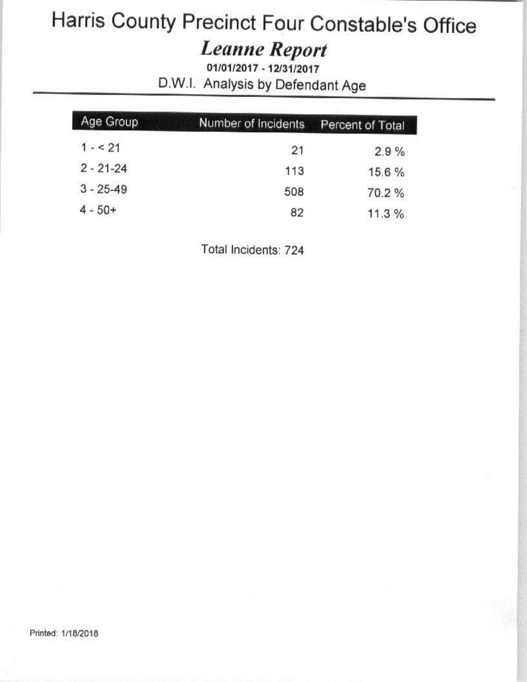# **Leanne Report**

01/01/2017 - 12/31/2017 D.W.I. Analysis by Defendant Age

| Age Group     | Number of Incidents | Percent of Total |
|---------------|---------------------|------------------|
| $1 - 21$      | 21                  | 2.9%             |
| $2 - 21 - 24$ | 113                 | 15.6 %           |
| $3 - 25 - 49$ | 508                 | 70.2%            |
| $4 - 50+$     | 82                  | 11.3%            |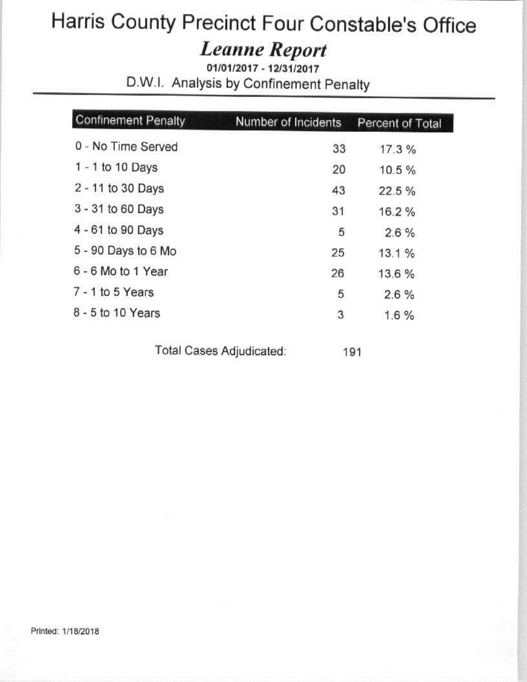#### **Leanne Report**

01/01/2017 - 12/31/2017 D.W.I. Analysis by Confinement Penalty

| <b>Confinement Penalty</b> | Number of Incidents | Percent of Total |
|----------------------------|---------------------|------------------|
| 0 - No Time Served         | 33                  | 17.3%            |
| 1 - 1 to 10 Days           | 20                  | 10.5%            |
| 2 - 11 to 30 Days          | 43                  | 22.5%            |
| 3 - 31 to 60 Days          | 31                  | 16.2%            |
| 4 - 61 to 90 Days          | 5                   | $2.6\%$          |
| 5 - 90 Days to 6 Mo        | 25                  | 13.1%            |
| 6 - 6 Mo to 1 Year         | 26                  | 13.6 %           |
| $7 - 1$ to 5 Years         | 5                   | 2.6%             |
| 8 - 5 to 10 Years          | 3                   | 1.6%             |

Total Cases Adjudicated:

191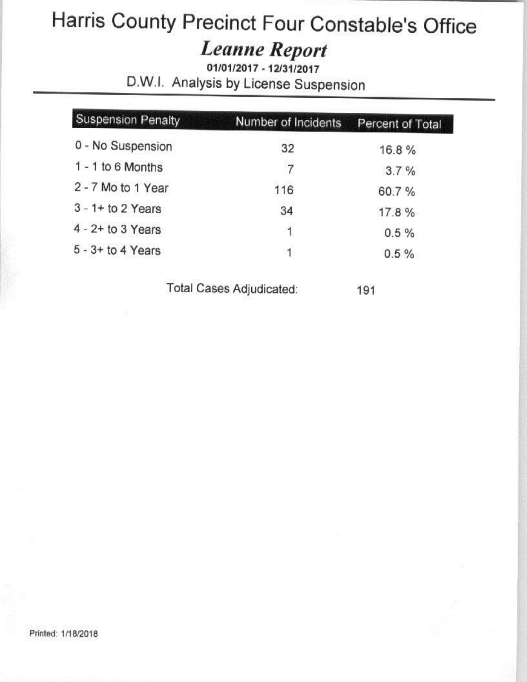**Leanne Report** 

01/01/2017 - 12/31/2017 D.W.I. Analysis by License Suspension

| <b>Suspension Penalty</b> | Number of Incidents | Percent of Total |
|---------------------------|---------------------|------------------|
| 0 - No Suspension         | 32                  | 16.8%            |
| $1 - 1$ to 6 Months       | 7                   | 3.7%             |
| 2 - 7 Mo to 1 Year        | 116                 | 60.7%            |
| $3 - 1 +$ to 2 Years      | 34                  | 17.8%            |
| $4 - 2 +$ to 3 Years      | 1                   | $0.5 \%$         |
| $5 - 3 +$ to 4 Years      | -1                  | 0.5%             |

Total Cases Adjudicated:

191